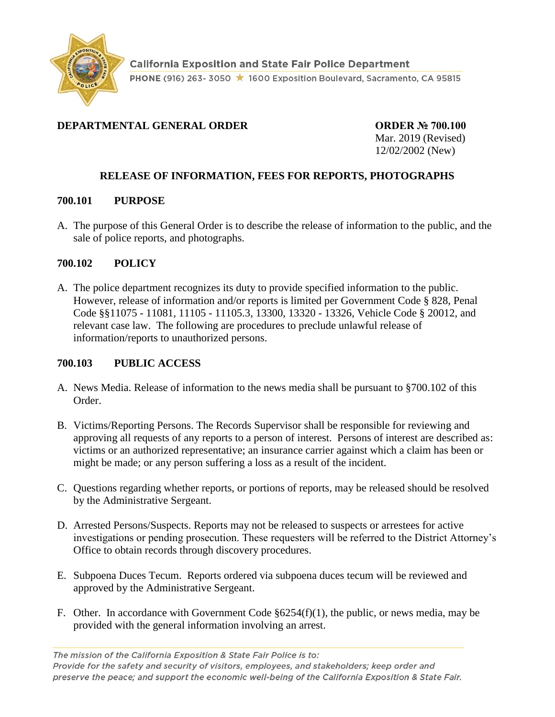

# **DEPARTMENTAL GENERAL ORDER ORDER № 700.100**

Mar. 2019 (Revised) 12/02/2002 (New)

# **RELEASE OF INFORMATION, FEES FOR REPORTS, PHOTOGRAPHS**

### **700.101 PURPOSE**

A. The purpose of this General Order is to describe the release of information to the public, and the sale of police reports, and photographs.

### **700.102 POLICY**

A. The police department recognizes its duty to provide specified information to the public. However, release of information and/or reports is limited per Government Code § 828, Penal Code §§11075 - 11081, 11105 - 11105.3, 13300, 13320 - 13326, Vehicle Code § 20012, and relevant case law. The following are procedures to preclude unlawful release of information/reports to unauthorized persons.

## **700.103 PUBLIC ACCESS**

- A. News Media. Release of information to the news media shall be pursuant to §700.102 of this Order.
- B. Victims/Reporting Persons. The Records Supervisor shall be responsible for reviewing and approving all requests of any reports to a person of interest. Persons of interest are described as: victims or an authorized representative; an insurance carrier against which a claim has been or might be made; or any person suffering a loss as a result of the incident.
- C. Questions regarding whether reports, or portions of reports, may be released should be resolved by the Administrative Sergeant.
- D. Arrested Persons/Suspects. Reports may not be released to suspects or arrestees for active investigations or pending prosecution. These requesters will be referred to the District Attorney's Office to obtain records through discovery procedures.
- E. Subpoena Duces Tecum. Reports ordered via subpoena duces tecum will be reviewed and approved by the Administrative Sergeant.
- F. Other. In accordance with Government Code §6254(f)(1), the public, or news media, may be provided with the general information involving an arrest.

The mission of the California Exposition & State Fair Police is to: Provide for the safety and security of visitors, employees, and stakeholders; keep order and preserve the peace; and support the economic well-being of the California Exposition & State Fair.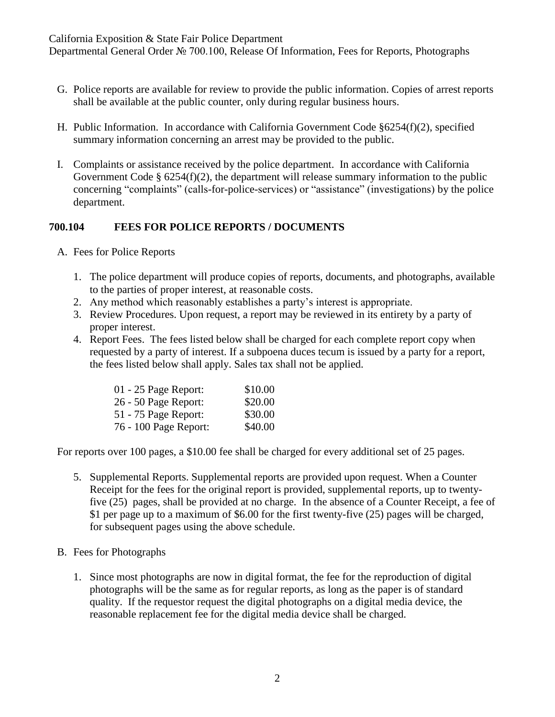California Exposition & State Fair Police Department

Departmental General Order № 700.100, Release Of Information, Fees for Reports, Photographs

- G. Police reports are available for review to provide the public information. Copies of arrest reports shall be available at the public counter, only during regular business hours.
- H. Public Information. In accordance with California Government Code §6254(f)(2), specified summary information concerning an arrest may be provided to the public.
- I. Complaints or assistance received by the police department. In accordance with California Government Code § 6254(f)(2), the department will release summary information to the public concerning "complaints" (calls-for-police-services) or "assistance" (investigations) by the police department.

## **700.104 FEES FOR POLICE REPORTS / DOCUMENTS**

- A. Fees for Police Reports
	- 1. The police department will produce copies of reports, documents, and photographs, available to the parties of proper interest, at reasonable costs.
	- 2. Any method which reasonably establishes a party's interest is appropriate.
	- 3. Review Procedures. Upon request, a report may be reviewed in its entirety by a party of proper interest.
	- 4. Report Fees. The fees listed below shall be charged for each complete report copy when requested by a party of interest. If a subpoena duces tecum is issued by a party for a report, the fees listed below shall apply. Sales tax shall not be applied.

| 01 - 25 Page Report:  | \$10.00 |
|-----------------------|---------|
| 26 - 50 Page Report:  | \$20.00 |
| 51 - 75 Page Report:  | \$30.00 |
| 76 - 100 Page Report: | \$40.00 |

For reports over 100 pages, a \$10.00 fee shall be charged for every additional set of 25 pages.

- 5. Supplemental Reports. Supplemental reports are provided upon request. When a Counter Receipt for the fees for the original report is provided, supplemental reports, up to twentyfive (25) pages, shall be provided at no charge. In the absence of a Counter Receipt, a fee of \$1 per page up to a maximum of \$6.00 for the first twenty-five (25) pages will be charged, for subsequent pages using the above schedule.
- B. Fees for Photographs
	- 1. Since most photographs are now in digital format, the fee for the reproduction of digital photographs will be the same as for regular reports, as long as the paper is of standard quality. If the requestor request the digital photographs on a digital media device, the reasonable replacement fee for the digital media device shall be charged.